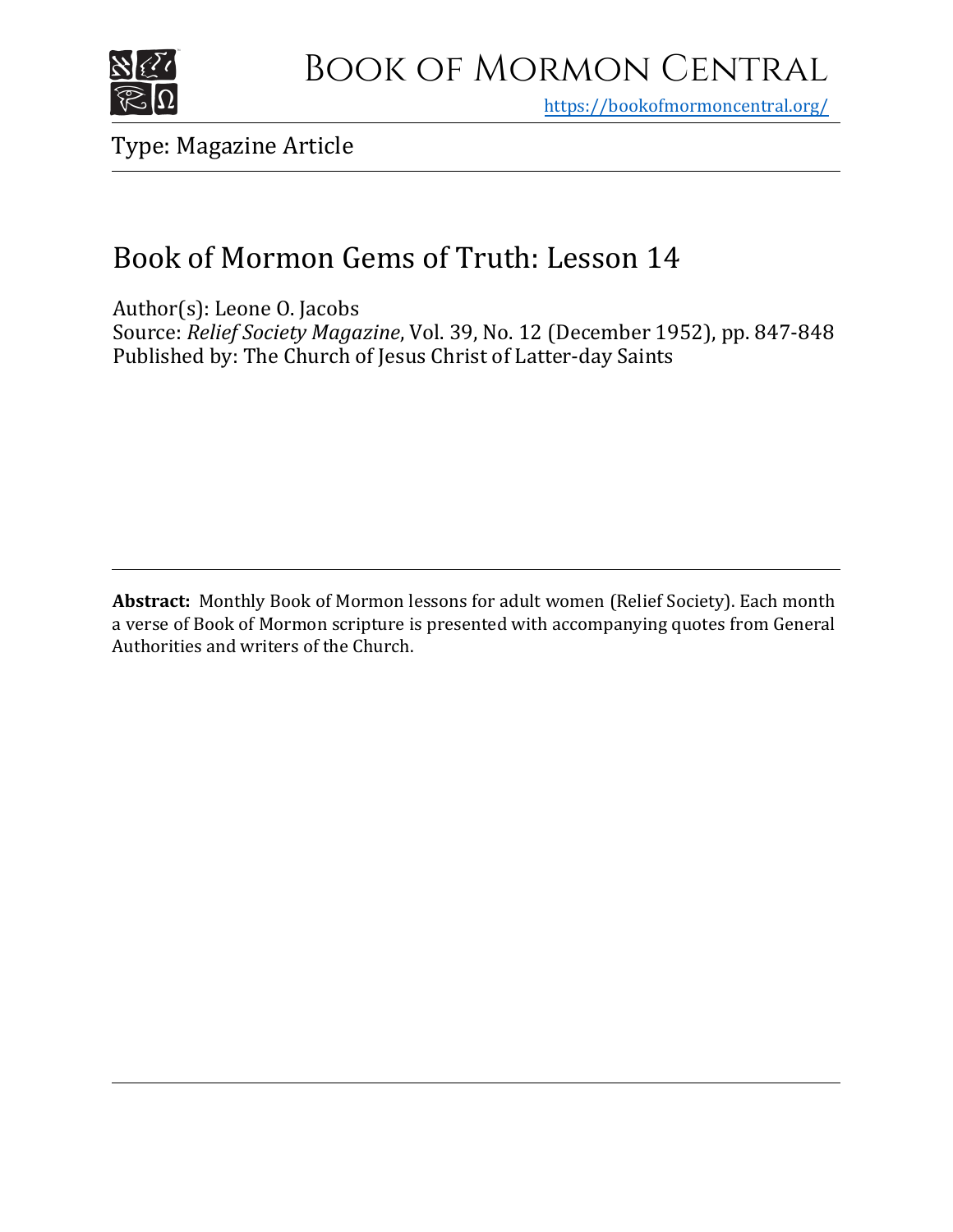

# Book of Mormon Central

https[://bookofmormoncentral.org/](http://bookofmormoncentral.org/)

Type: Magazine Article

### Book of Mormon Gems of Truth: Lesson 14

Author(s): Leone O. Jacobs Source: *Relief Society Magazine*, Vol. 39, No. 12 (December 1952), pp. 847-848 Published by: The Church of Jesus Christ of Latter-day Saints

**Abstract:** Monthly Book of Mormon lessons for adult women (Relief Society). Each month a verse of Book of Mormon scripture is presented with accompanying quotes from General Authorities and writers of the Church.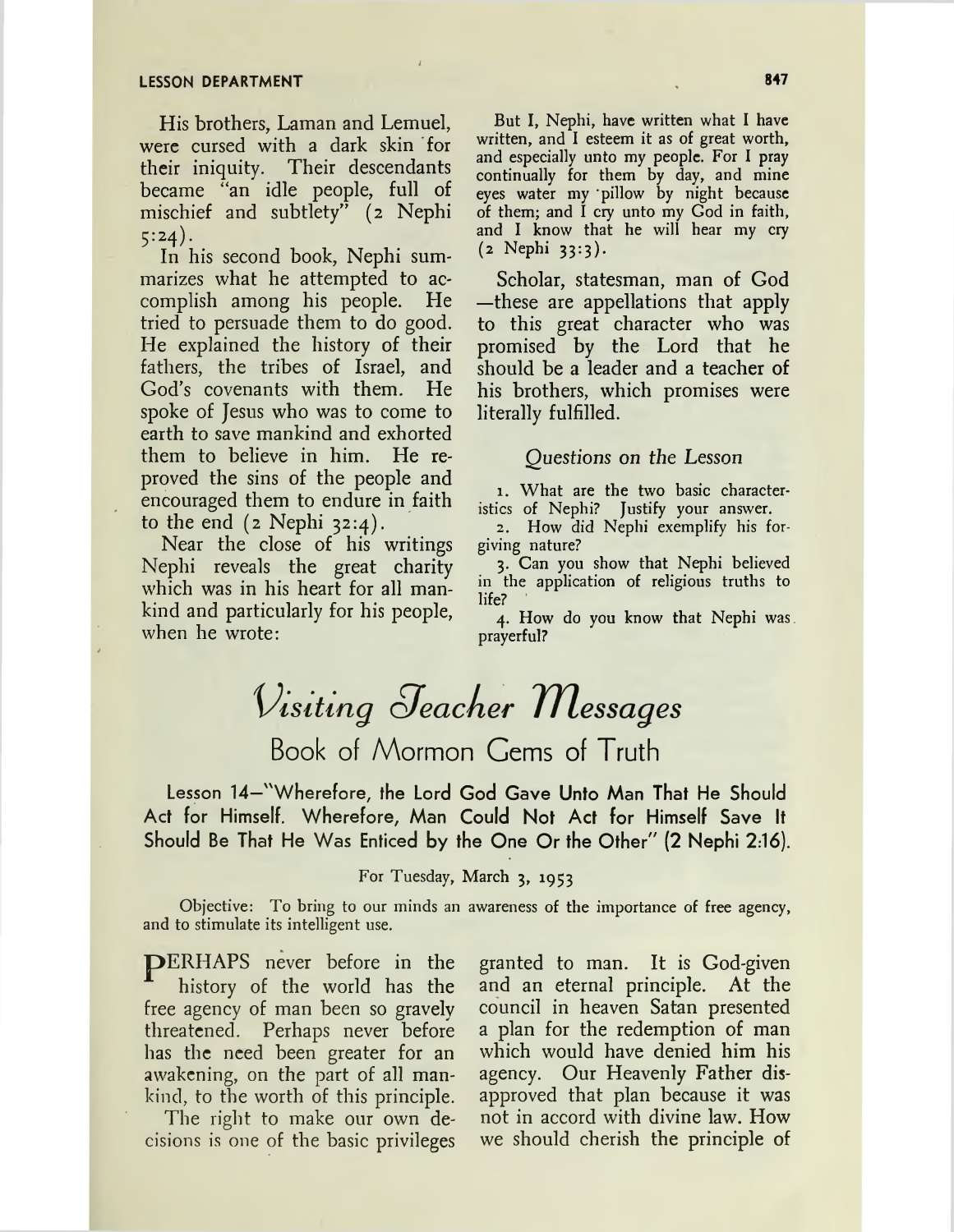His brothers, Laman and Lemuel, were cursed with a dark skin for their iniquity. Their descendants became "an idle people, full of mischief and subtlety" (2 Nephi  $5:24$ ).

In his second book, Nephi summarizes what he attempted to accomplish among his people. He tried to persuade them to do good. He explained the history of their fathers, the tribes of Israel, and God's covenants with them. He spoke of Jesus who was to come to earth to save mankind and exhorted them to believe in him. He reproved the sins of the people and encouraged them to endure in faith to the end  $(z \text{ Nephi } 32:4)$ .

Near the close of his writings Nephi reveals the great charity which was in his heart for all mankind and particularly for his people, when he wrote:

But I, Nephi, have written what I have written, and I esteem it as of great worth, and especially unto my people. For I pray continually for them by day, and mine eyes water my 'pillow by night because of them; and I cry unto my God in faith, and I know that he will hear my cry (2 Nephi 33:3).

Scholar, statesman, man of God —these are appellations that apply to this great character who was promised by the Lord that he should be a leader and a teacher of his brothers, which promises were literally fulfilled.

### Questions on the Lesson

1. What are the two basic characteristics of Nephi? Justify your answer.

2. How did Nephi exemplify his forgiving nature?

3. Can you show that Nephi believed in the application of religious truths to life?

4. How do you know that Nephi was. prayerful?

# Visiting Jeacher Messages Book of Mormon Gems of Truth

Lesson 14—"Wherefore, the Lord God Gave Unto Man That He Should Act for Himself. Wherefore, Man Could Not Act for Himself Save It Should Be That He Was Enticed by the One Or the Other" (2 Nephi 2:16).

### For Tuesday, March 3, 1953

Objective: To bring to our minds an awareness of the importance of free agency, and to stimulate its intelligent use.

pERHAPS never before in the history of the world has the free agency of man been so gravely threatened. Perhaps never before has the need been greater for an awakening, on the part of all mankind, to the worth of this principle.

The right to make our own decisions is one of the basic privileges

granted to man. It is God-given and an eternal principle. At the council in heaven Satan presented a plan for the redemption of man which would have denied him his agency. Our Heavenly Father disapproved that plan because it was not in accord with divine law. How we should cherish the principle of